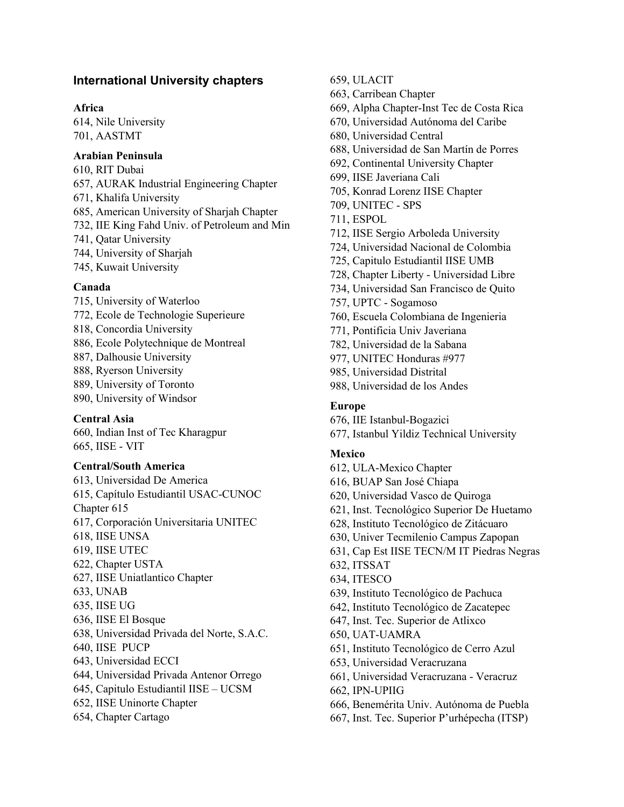# **International University chapters**

### **Africa**

614, Nile University 701, AASTMT

### **Arabian Peninsula**

610, RIT Dubai 657, AURAK Industrial Engineering Chapter 671, Khalifa University 685, American University of Sharjah Chapter 732, IIE King Fahd Univ. of Petroleum and Min 741, Qatar University 744, University of Sharjah 745, Kuwait University

#### **Canada**

715, University of Waterloo 772, Ecole de Technologie Superieure 818, Concordia University 886, Ecole Polytechnique de Montreal 887, Dalhousie University 888, Ryerson University 889, University of Toronto 890, University of Windsor

### **Central Asia**

660, Indian Inst of Tec Kharagpur 665, IISE - VIT

# **Central/South America**

613, Universidad De America 615, Capítulo Estudiantil USAC-CUNOC Chapter 615 617, Corporación Universitaria UNITEC 618, IISE UNSA 619, IISE UTEC 622, Chapter USTA 627, IISE Uniatlantico Chapter 633, UNAB 635, IISE UG 636, IISE El Bosque 638, Universidad Privada del Norte, S.A.C. 640, IISE PUCP 643, Universidad ECCI 644, Universidad Privada Antenor Orrego 645, Capitulo Estudiantil IISE – UCSM 652, IISE Uninorte Chapter 654, Chapter Cartago

659, ULACIT

- 663, Carribean Chapter
- 669, Alpha Chapter-Inst Tec de Costa Rica
- 670, Universidad Autónoma del Caribe
- 680, Universidad Central
- 688, Universidad de San Martín de Porres
- 692, Continental University Chapter
- 699, IISE Javeriana Cali
- 705, Konrad Lorenz IISE Chapter
- 709, UNITEC SPS
- 711, ESPOL
- 712, IISE Sergio Arboleda University
- 724, Universidad Nacional de Colombia
- 725, Capitulo Estudiantil IISE UMB
- 728, Chapter Liberty Universidad Libre
- 734, Universidad San Francisco de Quito
- 757, UPTC Sogamoso
- 760, Escuela Colombiana de Ingenieria
- 771, Pontificia Univ Javeriana
- 782, Universidad de la Sabana
- 977, UNITEC Honduras #977
- 985, Universidad Distrital
- 988, Universidad de los Andes

### **Europe**

- 676, IIE Istanbul-Bogazici
- 677, Istanbul Yildiz Technical University

### **Mexico**

- 612, ULA-Mexico Chapter 616, BUAP San José Chiapa 620, Universidad Vasco de Quiroga 621, Inst. Tecnológico Superior De Huetamo 628, Instituto Tecnológico de Zitácuaro 630, Univer Tecmilenio Campus Zapopan 631, Cap Est IISE TECN/M IT Piedras Negras 632, ITSSAT 634, ITESCO 639, Instituto Tecnológico de Pachuca 642, Instituto Tecnológico de Zacatepec 647, Inst. Tec. Superior de Atlixco 650, UAT-UAMRA 651, Instituto Tecnológico de Cerro Azul 653, Universidad Veracruzana 661, Universidad Veracruzana - Veracruz 662, IPN-UPIIG 666, Benemérita Univ. Autónoma de Puebla
- 667, Inst. Tec. Superior P'urhépecha (ITSP)